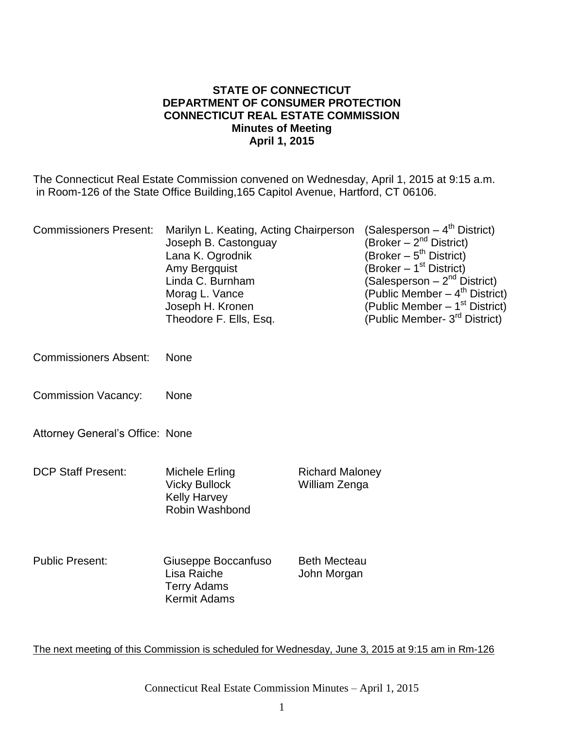#### **STATE OF CONNECTICUT DEPARTMENT OF CONSUMER PROTECTION CONNECTICUT REAL ESTATE COMMISSION Minutes of Meeting April 1, 2015**

The Connecticut Real Estate Commission convened on Wednesday, April 1, 2015 at 9:15 a.m. in Room-126 of the State Office Building,165 Capitol Avenue, Hartford, CT 06106.

| <b>Commissioners Present:</b>          | Marilyn L. Keating, Acting Chairperson<br>Joseph B. Castonguay<br>Lana K. Ogrodnik<br>Amy Bergquist<br>Linda C. Burnham<br>Morag L. Vance<br>Joseph H. Kronen<br>Theodore F. Ells, Esq. |                                         | (Salesperson – 4 <sup>th</sup> District)<br>(Broker $-2^{nd}$ District)<br>(Broker – 5 <sup>th</sup> District)<br>(Broker – 1 <sup>st</sup> District)<br>(Salesperson – 2 <sup>nd</sup> District)<br>(Public Member – 4 <sup>th</sup> District)<br>(Public Member - 1 <sup>st</sup> District)<br>(Public Member- 3 <sup>rd</sup> District) |
|----------------------------------------|-----------------------------------------------------------------------------------------------------------------------------------------------------------------------------------------|-----------------------------------------|--------------------------------------------------------------------------------------------------------------------------------------------------------------------------------------------------------------------------------------------------------------------------------------------------------------------------------------------|
| <b>Commissioners Absent:</b>           | None                                                                                                                                                                                    |                                         |                                                                                                                                                                                                                                                                                                                                            |
| <b>Commission Vacancy:</b>             | None                                                                                                                                                                                    |                                         |                                                                                                                                                                                                                                                                                                                                            |
| <b>Attorney General's Office: None</b> |                                                                                                                                                                                         |                                         |                                                                                                                                                                                                                                                                                                                                            |
| <b>DCP Staff Present:</b>              | Michele Erling<br><b>Vicky Bullock</b><br><b>Kelly Harvey</b><br>Robin Washbond                                                                                                         | <b>Richard Maloney</b><br>William Zenga |                                                                                                                                                                                                                                                                                                                                            |
| <b>Public Present:</b>                 | Giuseppe Boccanfuso<br>Lisa Raiche<br><b>Terry Adams</b><br><b>Kermit Adams</b>                                                                                                         | <b>Beth Mecteau</b><br>John Morgan      |                                                                                                                                                                                                                                                                                                                                            |

The next meeting of this Commission is scheduled for Wednesday, June 3, 2015 at 9:15 am in Rm-126

Connecticut Real Estate Commission Minutes – April 1, 2015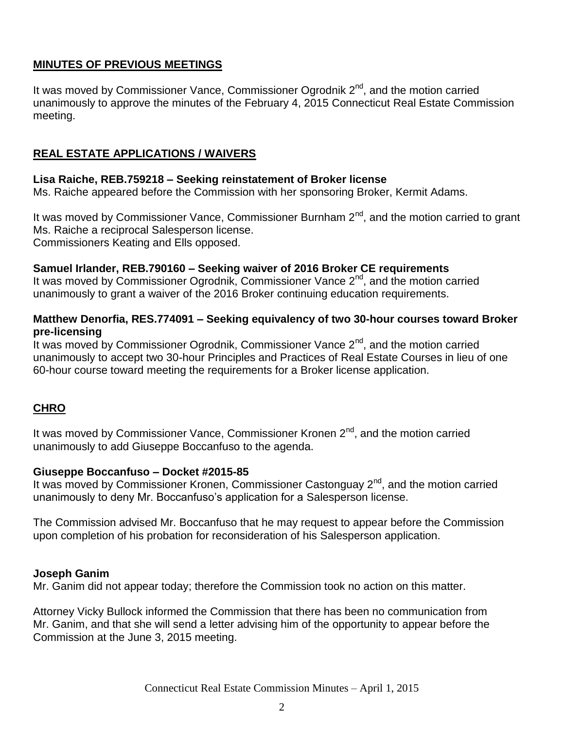# **MINUTES OF PREVIOUS MEETINGS**

It was moved by Commissioner Vance, Commissioner Ogrodnik 2<sup>nd</sup>, and the motion carried unanimously to approve the minutes of the February 4, 2015 Connecticut Real Estate Commission meeting.

# **REAL ESTATE APPLICATIONS / WAIVERS**

#### **Lisa Raiche, REB.759218 – Seeking reinstatement of Broker license**

Ms. Raiche appeared before the Commission with her sponsoring Broker, Kermit Adams.

It was moved by Commissioner Vance, Commissioner Burnham  $2<sup>nd</sup>$ , and the motion carried to grant Ms. Raiche a reciprocal Salesperson license. Commissioners Keating and Ells opposed.

#### **Samuel Irlander, REB.790160 – Seeking waiver of 2016 Broker CE requirements**

It was moved by Commissioner Ogrodnik, Commissioner Vance 2<sup>nd</sup>, and the motion carried unanimously to grant a waiver of the 2016 Broker continuing education requirements.

#### **Matthew Denorfia, RES.774091 – Seeking equivalency of two 30-hour courses toward Broker pre-licensing**

It was moved by Commissioner Ogrodnik, Commissioner Vance  $2<sup>nd</sup>$ , and the motion carried unanimously to accept two 30-hour Principles and Practices of Real Estate Courses in lieu of one 60-hour course toward meeting the requirements for a Broker license application.

# **CHRO**

It was moved by Commissioner Vance, Commissioner Kronen  $2<sup>nd</sup>$ , and the motion carried unanimously to add Giuseppe Boccanfuso to the agenda.

#### **Giuseppe Boccanfuso – Docket #2015-85**

It was moved by Commissioner Kronen, Commissioner Castonguay  $2<sup>nd</sup>$ , and the motion carried unanimously to deny Mr. Boccanfuso's application for a Salesperson license.

The Commission advised Mr. Boccanfuso that he may request to appear before the Commission upon completion of his probation for reconsideration of his Salesperson application.

#### **Joseph Ganim**

Mr. Ganim did not appear today; therefore the Commission took no action on this matter.

Attorney Vicky Bullock informed the Commission that there has been no communication from Mr. Ganim, and that she will send a letter advising him of the opportunity to appear before the Commission at the June 3, 2015 meeting.